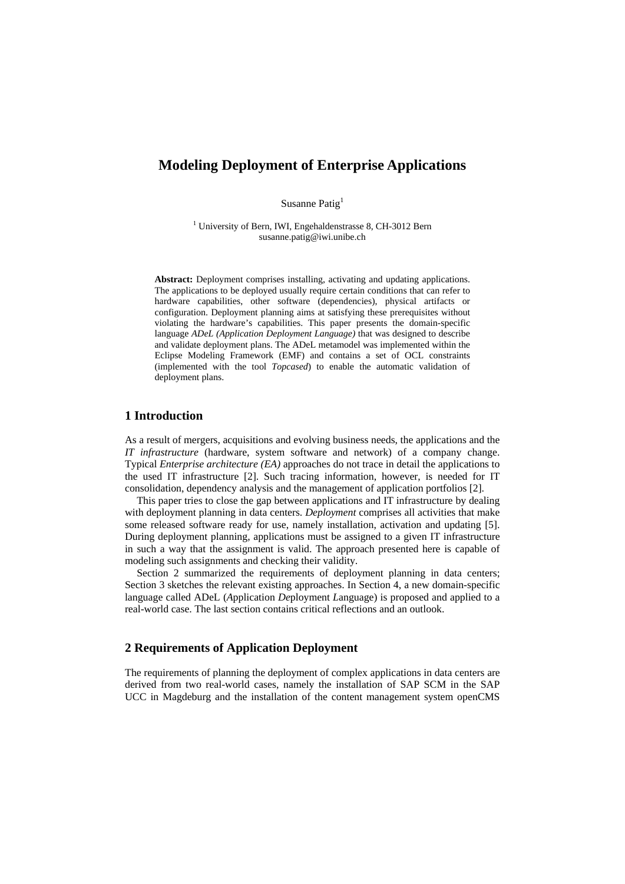# **Modeling Deployment of Enterprise Applications**

Susanne Patig<sup>1</sup>

<sup>1</sup> University of Bern, IWI, Engehaldenstrasse 8, CH-3012 Bern susanne.patig@iwi.unibe.ch

**Abstract:** Deployment comprises installing, activating and updating applications. The applications to be deployed usually require certain conditions that can refer to hardware capabilities, other software (dependencies), physical artifacts or configuration. Deployment planning aims at satisfying these prerequisites without violating the hardware's capabilities. This paper presents the domain-specific language *ADeL (Application Deployment Language)* that was designed to describe and validate deployment plans. The ADeL metamodel was implemented within the Eclipse Modeling Framework (EMF) and contains a set of OCL constraints (implemented with the tool *Topcased*) to enable the automatic validation of deployment plans.

### **1 Introduction**

As a result of mergers, acquisitions and evolving business needs, the applications and the *IT infrastructure* (hardware, system software and network) of a company change. Typical *Enterprise architecture (EA)* approaches do not trace in detail the applications to the used IT infrastructure [2]. Such tracing information, however, is needed for IT consolidation, dependency analysis and the management of application portfolios [2].

This paper tries to close the gap between applications and IT infrastructure by dealing with deployment planning in data centers. *Deployment* comprises all activities that make some released software ready for use, namely installation, activation and updating [5]. During deployment planning, applications must be assigned to a given IT infrastructure in such a way that the assignment is valid. The approach presented here is capable of modeling such assignments and checking their validity.

Section 2 summarized the requirements of deployment planning in data centers; Section 3 sketches the relevant existing approaches. In Section 4, a new domain-specific language called ADeL (*A*pplication *De*ployment *L*anguage) is proposed and applied to a real-world case. The last section contains critical reflections and an outlook.

## **2 Requirements of Application Deployment**

The requirements of planning the deployment of complex applications in data centers are derived from two real-world cases, namely the installation of SAP SCM in the SAP UCC in Magdeburg and the installation of the content management system openCMS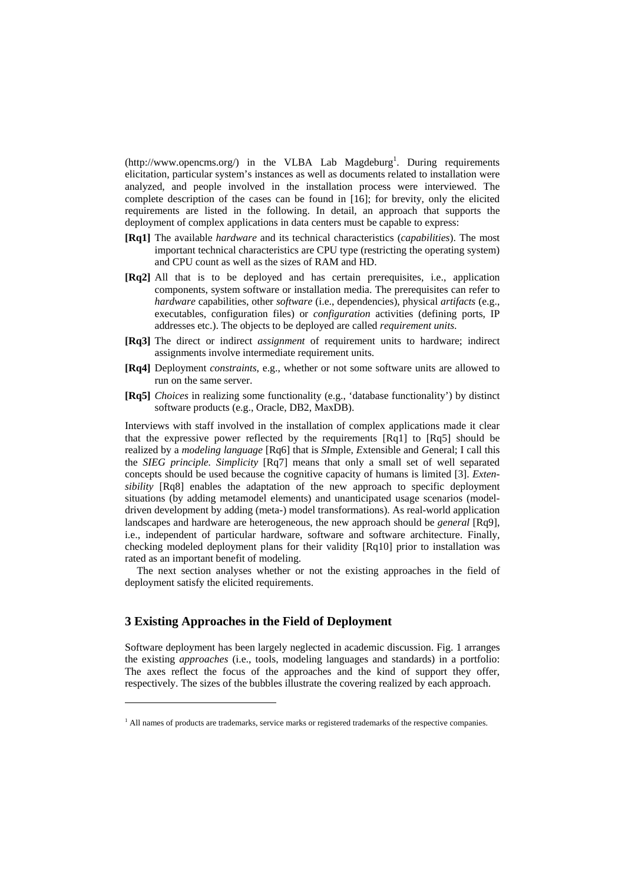$(http://www.opencms.org/)$  in the VLBA Lab Magdeburg<sup>1</sup>. During requirements elicitation, particular system's instances as well as documents related to installation were analyzed, and people involved in the installation process were interviewed. The complete description of the cases can be found in [16]; for brevity, only the elicited requirements are listed in the following. In detail, an approach that supports the deployment of complex applications in data centers must be capable to express:

- **[Rq1]** The available *hardware* and its technical characteristics (*capabilities*). The most important technical characteristics are CPU type (restricting the operating system) and CPU count as well as the sizes of RAM and HD.
- **[Rq2]** All that is to be deployed and has certain prerequisites, i.e., application components, system software or installation media. The prerequisites can refer to *hardware* capabilities, other *software* (i.e., dependencies), physical *artifacts* (e.g., executables, configuration files) or *configuration* activities (defining ports, IP addresses etc.). The objects to be deployed are called *requirement units*.
- **[Rq3]** The direct or indirect *assignment* of requirement units to hardware; indirect assignments involve intermediate requirement units.
- **[Rq4]** Deployment *constraints*, e.g., whether or not some software units are allowed to run on the same server.
- **[Rq5]** *Choices* in realizing some functionality (e.g., 'database functionality') by distinct software products (e.g., Oracle, DB2, MaxDB).

Interviews with staff involved in the installation of complex applications made it clear that the expressive power reflected by the requirements [Rq1] to [Rq5] should be realized by a *modeling language* [Rq6] that is *SI*mple, *E*xtensible and *G*eneral; I call this the *SIEG principle. Simplicity* [Rq7] means that only a small set of well separated concepts should be used because the cognitive capacity of humans is limited [3]. *Extensibility* [Rq8] enables the adaptation of the new approach to specific deployment situations (by adding metamodel elements) and unanticipated usage scenarios (modeldriven development by adding (meta-) model transformations). As real-world application landscapes and hardware are heterogeneous, the new approach should be *general* [Rq9], i.e., independent of particular hardware, software and software architecture. Finally, checking modeled deployment plans for their validity [Rq10] prior to installation was rated as an important benefit of modeling.

The next section analyses whether or not the existing approaches in the field of deployment satisfy the elicited requirements.

## **3 Existing Approaches in the Field of Deployment**

 $\overline{a}$ 

Software deployment has been largely neglected in academic discussion. Fig. 1 arranges the existing *approaches* (i.e., tools, modeling languages and standards) in a portfolio: The axes reflect the focus of the approaches and the kind of support they offer, respectively. The sizes of the bubbles illustrate the covering realized by each approach.

<sup>&</sup>lt;sup>1</sup> All names of products are trademarks, service marks or registered trademarks of the respective companies.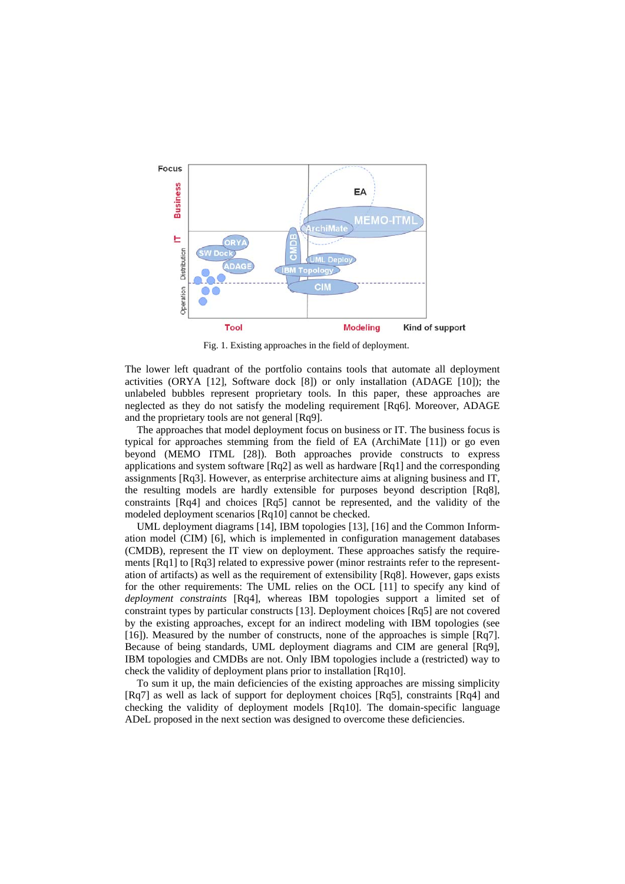

Fig. 1. Existing approaches in the field of deployment.

The lower left quadrant of the portfolio contains tools that automate all deployment activities (ORYA [12], Software dock [8]) or only installation (ADAGE [10]); the unlabeled bubbles represent proprietary tools. In this paper, these approaches are neglected as they do not satisfy the modeling requirement [Rq6]. Moreover, ADAGE and the proprietary tools are not general [Rq9].

The approaches that model deployment focus on business or IT. The business focus is typical for approaches stemming from the field of EA (ArchiMate [11]) or go even beyond (MEMO ITML [28]). Both approaches provide constructs to express applications and system software [Rq2] as well as hardware [Rq1] and the corresponding assignments [Rq3]. However, as enterprise architecture aims at aligning business and IT, the resulting models are hardly extensible for purposes beyond description [Rq8], constraints [Rq4] and choices [Rq5] cannot be represented, and the validity of the modeled deployment scenarios [Rq10] cannot be checked.

UML deployment diagrams [14], IBM topologies [13], [16] and the Common Information model (CIM) [6], which is implemented in configuration management databases (CMDB), represent the IT view on deployment. These approaches satisfy the requirements [Rq1] to [Rq3] related to expressive power (minor restraints refer to the representation of artifacts) as well as the requirement of extensibility [Rq8]. However, gaps exists for the other requirements: The UML relies on the OCL [11] to specify any kind of *deployment constraints* [Rq4], whereas IBM topologies support a limited set of constraint types by particular constructs [13]. Deployment choices [Rq5] are not covered by the existing approaches, except for an indirect modeling with IBM topologies (see [16]). Measured by the number of constructs, none of the approaches is simple [Rq7]. Because of being standards, UML deployment diagrams and CIM are general [Rq9], IBM topologies and CMDBs are not. Only IBM topologies include a (restricted) way to check the validity of deployment plans prior to installation [Rq10].

To sum it up, the main deficiencies of the existing approaches are missing simplicity [Rq7] as well as lack of support for deployment choices [Rq5], constraints [Rq4] and checking the validity of deployment models [Rq10]. The domain-specific language ADeL proposed in the next section was designed to overcome these deficiencies.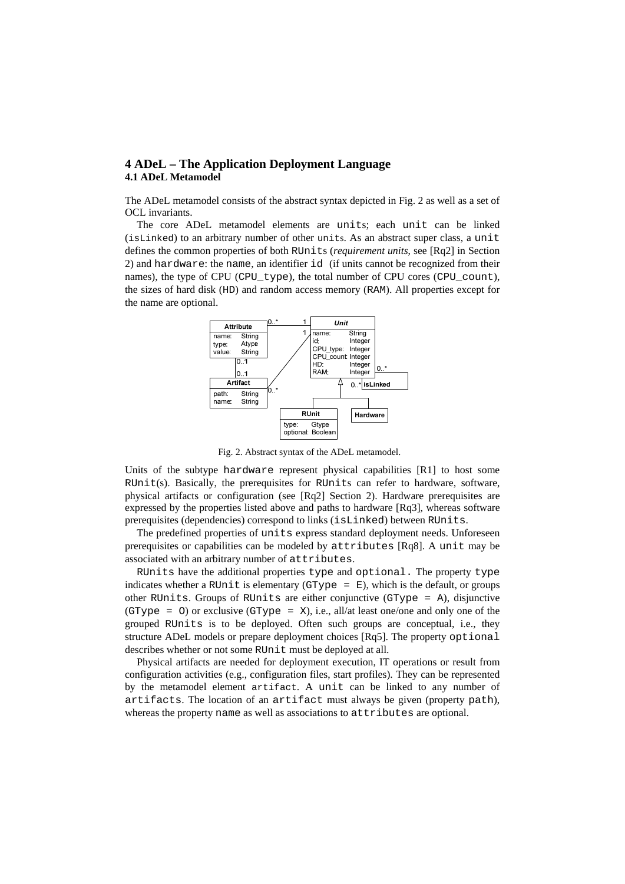## **4 ADeL – The Application Deployment Language 4.1 ADeL Metamodel**

The ADeL metamodel consists of the abstract syntax depicted in Fig. 2 as well as a set of OCL invariants.

The core ADeL metamodel elements are units; each unit can be linked (isLinked) to an arbitrary number of other units. As an abstract super class, a unit defines the common properties of both RUnits (*requirement units*, see [Rq2] in Section 2) and hardware: the name, an identifier id (if units cannot be recognized from their names), the type of CPU (CPU type), the total number of CPU cores (CPU count), the sizes of hard disk (HD) and random access memory (RAM). All properties except for the name are optional.



Fig. 2. Abstract syntax of the ADeL metamodel.

Units of the subtype hardware represent physical capabilities [R1] to host some  $RUnit(s)$ . Basically, the prerequisites for RUnits can refer to hardware, software, physical artifacts or configuration (see [Rq2] Section 2). Hardware prerequisites are expressed by the properties listed above and paths to hardware [Rq3], whereas software prerequisites (dependencies) correspond to links (isLinked) between RUnits.

The predefined properties of units express standard deployment needs. Unforeseen prerequisites or capabilities can be modeled by attributes [Rq8]. A unit may be associated with an arbitrary number of attributes.

RUnits have the additional properties type and optional. The property type indicates whether a RUnit is elementary (GType =  $E$ ), which is the default, or groups other RUnits. Groups of RUnits are either conjunctive (GType = A), disjunctive (GType =  $\circ$ ) or exclusive (GType =  $\circ$ ), i.e., all/at least one/one and only one of the grouped RUnits is to be deployed. Often such groups are conceptual, i.e., they structure ADeL models or prepare deployment choices [Rq5]. The property optional describes whether or not some RUnit must be deployed at all.

Physical artifacts are needed for deployment execution, IT operations or result from configuration activities (e.g., configuration files, start profiles). They can be represented by the metamodel element artifact. A unit can be linked to any number of artifacts. The location of an artifact must always be given (property path), whereas the property name as well as associations to attributes are optional.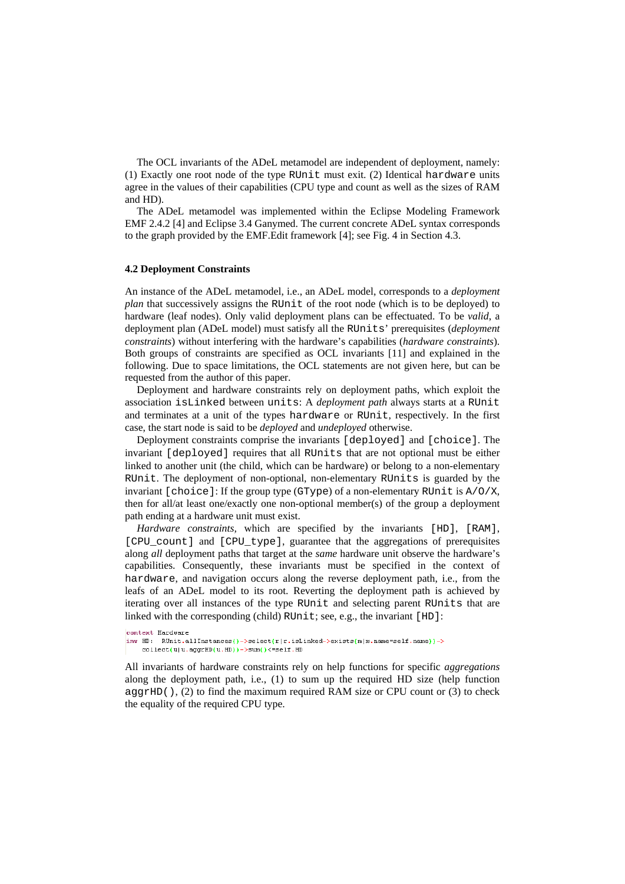The OCL invariants of the ADeL metamodel are independent of deployment, namely: (1) Exactly one root node of the type RUnit must exit. (2) Identical hardware units agree in the values of their capabilities (CPU type and count as well as the sizes of RAM and HD).

The ADeL metamodel was implemented within the Eclipse Modeling Framework EMF 2.4.2 [4] and Eclipse 3.4 Ganymed. The current concrete ADeL syntax corresponds to the graph provided by the EMF.Edit framework [4]; see Fig. 4 in Section 4.3.

## **4.2 Deployment Constraints**

An instance of the ADeL metamodel, i.e., an ADeL model, corresponds to a *deployment plan* that successively assigns the RUnit of the root node (which is to be deployed) to hardware (leaf nodes). Only valid deployment plans can be effectuated. To be *valid*, a deployment plan (ADeL model) must satisfy all the RUnits' prerequisites (*deployment constraints*) without interfering with the hardware's capabilities (*hardware constraints*). Both groups of constraints are specified as OCL invariants [11] and explained in the following. Due to space limitations, the OCL statements are not given here, but can be requested from the author of this paper.

Deployment and hardware constraints rely on deployment paths, which exploit the association isLinked between units: A *deployment path* always starts at a RUnit and terminates at a unit of the types hardware or RUnit, respectively. In the first case, the start node is said to be *deployed* and *undeployed* otherwise.

Deployment constraints comprise the invariants [deployed] and [choice]. The invariant [deployed] requires that all RUnits that are not optional must be either linked to another unit (the child, which can be hardware) or belong to a non-elementary RUnit. The deployment of non-optional, non-elementary RUnits is guarded by the invariant  $[choice]$ : If the group type (GType) of a non-elementary RUnit is  $A/O/X$ . then for all/at least one/exactly one non-optional member(s) of the group a deployment path ending at a hardware unit must exist.

*Hardware constraints,* which are specified by the invariants [HD], [RAM], [CPU\_count] and [CPU\_type], guarantee that the aggregations of prerequisites along *all* deployment paths that target at the *same* hardware unit observe the hardware's capabilities. Consequently, these invariants must be specified in the context of hardware, and navigation occurs along the reverse deployment path, i.e., from the leafs of an ADeL model to its root. Reverting the deployment path is achieved by iterating over all instances of the type RUnit and selecting parent RUnits that are linked with the corresponding (child) RUnit; see, e.g., the invariant [HD]:

```
context Hardware
inv HD: RUnit.allInstances()->select(r|r.isLinked->exists(m|m.name=self.name))->
   collect(u|u.aggrHD(u.HD))->sum()<=self.HD
```
All invariants of hardware constraints rely on help functions for specific *aggregations* along the deployment path, i.e., (1) to sum up the required HD size (help function  $\alpha$ ggrHD(), (2) to find the maximum required RAM size or CPU count or (3) to check the equality of the required CPU type.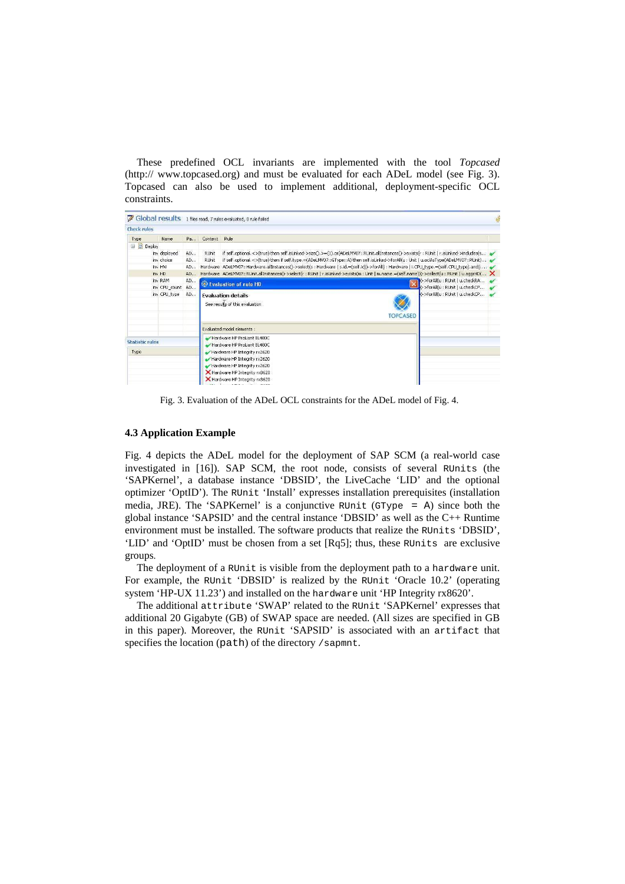These predefined OCL invariants are implemented with the tool *Topcased* (http:// www.topcased.org) and must be evaluated for each ADeL model (see Fig. 3). Topcased can also be used to implement additional, deployment-specific OCL constraints.

|                                |         |                                              |                                                                                                                                                                                                                                                                                                                                                                                                                                               |                              | Global results 1 files read, 7 rules evaluated, 0 rule failed                                                                                                                                |                                                                  | SS |
|--------------------------------|---------|----------------------------------------------|-----------------------------------------------------------------------------------------------------------------------------------------------------------------------------------------------------------------------------------------------------------------------------------------------------------------------------------------------------------------------------------------------------------------------------------------------|------------------------------|----------------------------------------------------------------------------------------------------------------------------------------------------------------------------------------------|------------------------------------------------------------------|----|
| <b>Check rules</b>             |         |                                              |                                                                                                                                                                                                                                                                                                                                                                                                                                               |                              |                                                                                                                                                                                              |                                                                  |    |
| Type                           |         | Name                                         |                                                                                                                                                                                                                                                                                                                                                                                                                                               | Pa Context                   | Rule                                                                                                                                                                                         |                                                                  |    |
| Deploy<br>Ξ                    |         |                                              |                                                                                                                                                                                                                                                                                                                                                                                                                                               |                              |                                                                                                                                                                                              |                                                                  |    |
|                                | inv HW  | iny deployed<br>AD<br>inv choice<br>AD<br>AD | if self.optional.<>(true) then self.isLinked->size().>=(1).or(ADeLMV07::RUnit.allInstances()->exists(r : RUnit   r.isLinked->includes(s ~<br>RUnit<br>if self.optional.<>(true) then if self.type.=(ADeLMV07::GType::A) then self.isLinked->forAll(u: Unit   u.oclAsType(ADeLMV07::RUnit)<br>RUnit<br>Hardware ADeLMV07::Hardware.allInstances()->select(s:Hardware   s.id.=(self.id))->forAll(i:Hardware   i.CPU_type.=(self.CPU_type).and(i |                              |                                                                                                                                                                                              |                                                                  |    |
|                                | inv HD  |                                              | AD                                                                                                                                                                                                                                                                                                                                                                                                                                            |                              | Hardware ADeLMV07::RUnit.allInstances()->select(r:RUnit   r.isLinked->exists(m:Unit   m.name.=(self.name)))->collect(u:RUnit   u.aqqrHD( X                                                   |                                                                  |    |
|                                | inv RAM | inv CPU_count                                | AD<br>AD                                                                                                                                                                                                                                                                                                                                                                                                                                      |                              | Evaluation of rule HD                                                                                                                                                                        | >>forAll(u: RUnit   u.checkRA<br>)->forAll(u : RUnit   u.checkCP |    |
| inv CPU type                   |         | AD                                           | >>forAll(u:RUnit   u.checkCP<br><b>Fvaluation details</b><br>See results of this evaluation<br><b>TOPCASED</b>                                                                                                                                                                                                                                                                                                                                |                              |                                                                                                                                                                                              |                                                                  |    |
|                                |         |                                              |                                                                                                                                                                                                                                                                                                                                                                                                                                               |                              | Evaluated model elements :                                                                                                                                                                   |                                                                  |    |
| <b>Statistic rules</b><br>Type |         |                                              |                                                                                                                                                                                                                                                                                                                                                                                                                                               |                              | Hardware HP ProLiant BL480C<br>Hardware HP ProLiant BL480C<br>Hardware HP Integrity rx2620<br>Hardware HP Integrity rx2620<br>Hardware HP Integrity rx2620<br>K Hardware HP Integrity rx8620 |                                                                  |    |
|                                |         |                                              |                                                                                                                                                                                                                                                                                                                                                                                                                                               | Hardware HP Integrity rx8620 |                                                                                                                                                                                              |                                                                  |    |

Fig. 3. Evaluation of the ADeL OCL constraints for the ADeL model of Fig. 4.

### **4.3 Application Example**

Fig. 4 depicts the ADeL model for the deployment of SAP SCM (a real-world case investigated in [16]). SAP SCM, the root node, consists of several RUnits (the 'SAPKernel', a database instance 'DBSID', the LiveCache 'LID' and the optional optimizer 'OptID'). The RUnit 'Install' expresses installation prerequisites (installation media, JRE). The 'SAPKernel' is a conjunctive RUnit (GType = A) since both the global instance 'SAPSID' and the central instance 'DBSID' as well as the C++ Runtime environment must be installed. The software products that realize the RUnits 'DBSID', 'LID' and 'OptID' must be chosen from a set [Rq5]; thus, these RUnits are exclusive groups.

The deployment of a RUnit is visible from the deployment path to a hardware unit. For example, the RUnit 'DBSID' is realized by the RUnit 'Oracle 10.2' (operating system 'HP-UX 11.23') and installed on the hardware unit 'HP Integrity rx8620'.

The additional attribute 'SWAP' related to the RUnit 'SAPKernel' expresses that additional 20 Gigabyte (GB) of SWAP space are needed. (All sizes are specified in GB in this paper). Moreover, the RUnit 'SAPSID' is associated with an artifact that specifies the location (path) of the directory /sapmnt.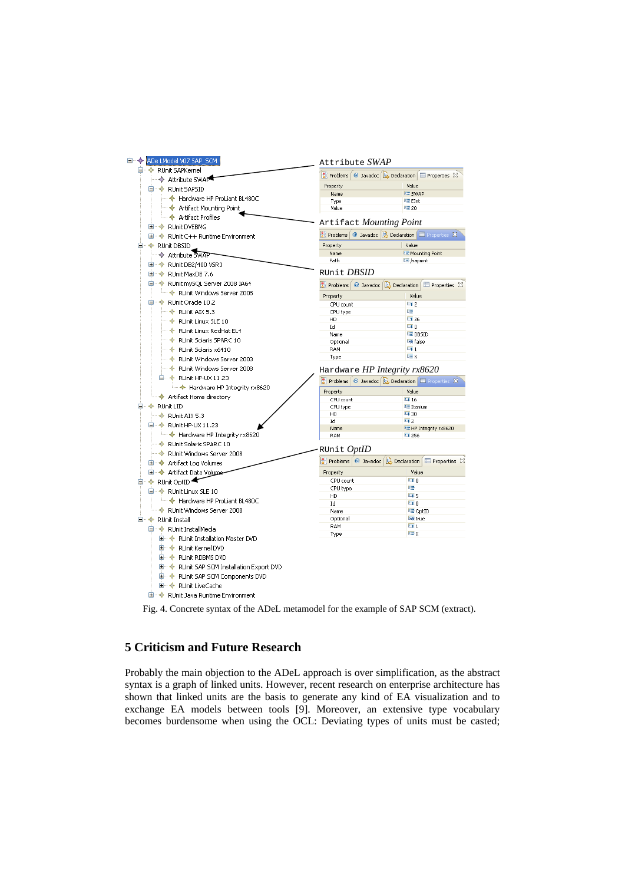| El <sup></sup> ◆ ADe LModel V07 SAP_SCM            | Attribute SWAP               |                                                                         |  |
|----------------------------------------------------|------------------------------|-------------------------------------------------------------------------|--|
| <b>E</b> . ◆ RUnit SAPKernel                       |                              | Problems   @ Javadoc   & Declaration   E Properties X                   |  |
| → Attribute SWAP                                   |                              |                                                                         |  |
| <b>E- ← RUnit SAPSID</b>                           | Property<br>Name             | Value<br><b>LE SWAP</b>                                                 |  |
| ├― ◆ Hardware HP ProLiant BL480C                   | Type                         | !≣ EInt                                                                 |  |
| ├─ ◆ Artifact Mounting Point                       | Value                        | 토20                                                                     |  |
| └─ ◆ Artifact Profiles                             |                              |                                                                         |  |
| H… ◆ RUnit DVEBMG                                  |                              | Artifact Mounting Point                                                 |  |
| E + + RUnit C++ Runtime Environment                |                              | <b>R</b> Problems   @ Javadoc   & Declaration   E Properties X          |  |
| <b>E</b> <sup></sup> ◆ RUnit DBSID                 | Property                     | Value                                                                   |  |
| → Attribute SWAP                                   | Name                         | LE Mounting Point                                                       |  |
| <b>E</b> $\phi$ RUnit DB2/400 VSR3                 | Path                         | lll /sapmnt                                                             |  |
| H… ◆ RUnit MaxDB 7.6                               | runit <i>DBSID</i>           |                                                                         |  |
| □ $\div$ RUnit mySQL Server 2008 IA64              |                              | Problems   @ Javadoc   & Declaration   E Properties $\boxtimes$         |  |
| RUnit Windows Server 2008                          |                              |                                                                         |  |
| □ · ◆ RUnit Oracle 10.2                            | Property                     | Value                                                                   |  |
| $\rightarrow$ RUnit AIX 5.3                        | CPU count                    | 112<br>哇                                                                |  |
|                                                    | CPU type<br>HD               | 1126                                                                    |  |
| RUnit Linux SLE 10                                 | Id                           | $-10$                                                                   |  |
| ···· ◈ RUnit Linux RedHat EL4                      | Name                         | LE DBSID                                                                |  |
| RUnit Solaris SPARC 10                             | Optional                     | <b>Likk</b> False                                                       |  |
| $\bullet$ RUnit Solaris x6410                      | RAM                          | $-11$                                                                   |  |
| RUnit Windows Server 2003                          | Type                         | <b>『言</b> 文                                                             |  |
| RUnit Windows Server 2008                          | Hardware HP Integrity rx8620 |                                                                         |  |
| □ < RUnit HP-UX 11.23                              |                              | <b>All Problems</b>   @ Javadoc   <b>Q</b> Declaration   E Properties X |  |
| i → Hardware HP Integrity rx8620                   |                              |                                                                         |  |
| └─ ◆ Artifact Home directory                       | Property<br>CPU count        | Value<br>$-116$                                                         |  |
| □ ◆ RUnit LID                                      | CPU type                     | lll Itanium                                                             |  |
| $\rightarrow$ RUnit AIX 5.3                        | HD                           | L <sub>1</sub> 30                                                       |  |
| □ < RUnit HP-UX 11.23                              | Id                           | $\overline{11}$ 2                                                       |  |
| i → Hardware HP Integrity rx8620                   | Name                         | □ HP Integrity rx8620                                                   |  |
|                                                    | RAM                          | $-1256$                                                                 |  |
| → RUnit Solaris SPARC 10                           | RUnit <i>OptID</i>           |                                                                         |  |
| RUnit Windows Server 2008                          |                              | Reproblems   @ Javadoc   & Declaration   E Properties &                 |  |
| <b>El… ◆ Artifact Log Volumes</b>                  |                              |                                                                         |  |
| <b>E</b> $\rightarrow$ Artifact Data Volume        | Property                     | Value                                                                   |  |
| □ ◆ RUnit OptID                                    | CPU count                    | $-10$<br>哇                                                              |  |
| □ < RUnit Linux SLE 10                             | CPU type<br>HD               | $-15$                                                                   |  |
| Hardware HP ProLiant BL480C                        | Id                           | $-10$                                                                   |  |
| └─ ◆ RUnit Windows Server 2008                     | Name                         | L≣ OptID                                                                |  |
| <b>E</b> <sup></sup> ◆ RUnit Install               | Optional                     | Ly true                                                                 |  |
| □ < RUnit InstallMedia                             | RAM                          | $\overline{-1}$ 1                                                       |  |
| <b>E</b> $\triangle$ RUnit Installation Master DVD | Type                         | <b>喧×</b>                                                               |  |
| E + RUnit Kernel DVD                               |                              |                                                                         |  |
|                                                    |                              |                                                                         |  |
| E + + RUnit RDBMS DVD                              |                              |                                                                         |  |
| <b>E</b> ◆ RUnit SAP SCM Installation Export DVD   |                              |                                                                         |  |
| 国… < RUnit SAP SCM Components DVD                  |                              |                                                                         |  |
| E + RUnit LiveCache                                |                              |                                                                         |  |
| 国…◆ RUnit Java Runtime Environment                 |                              |                                                                         |  |

Fig. 4. Concrete syntax of the ADeL metamodel for the example of SAP SCM (extract).

# **5 Criticism and Future Research**

Probably the main objection to the ADeL approach is over simplification, as the abstract syntax is a graph of linked units. However, recent research on enterprise architecture has shown that linked units are the basis to generate any kind of EA visualization and to exchange EA models between tools [9]. Moreover, an extensive type vocabulary becomes burdensome when using the OCL: Deviating types of units must be casted;